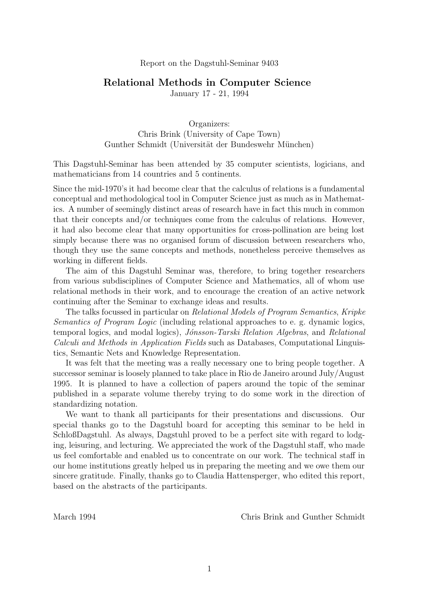#### Report on the Dagstuhl-Seminar 9403

# Relational Methods in Computer Science

January 17 - 21, 1994

Organizers: Chris Brink (University of Cape Town) Gunther Schmidt (Universität der Bundeswehr München)

This Dagstuhl-Seminar has been attended by 35 computer scientists, logicians, and mathematicians from 14 countries and 5 continents.

Since the mid-1970's it had become clear that the calculus of relations is a fundamental conceptual and methodological tool in Computer Science just as much as in Mathematics. A number of seemingly distinct areas of research have in fact this much in common that their concepts and/or techniques come from the calculus of relations. However, it had also become clear that many opportunities for cross-pollination are being lost simply because there was no organised forum of discussion between researchers who, though they use the same concepts and methods, nonetheless perceive themselves as working in different fields.

The aim of this Dagstuhl Seminar was, therefore, to bring together researchers from various subdisciplines of Computer Science and Mathematics, all of whom use relational methods in their work, and to encourage the creation of an active network continuing after the Seminar to exchange ideas and results.

The talks focussed in particular on Relational Models of Program Semantics, Kripke Semantics of Program Logic (including relational approaches to e. g. dynamic logics, temporal logics, and modal logics), Jónsson-Tarski Relation Algebras, and Relational Calculi and Methods in Application Fields such as Databases, Computational Linguistics, Semantic Nets and Knowledge Representation.

It was felt that the meeting was a really necessary one to bring people together. A successor seminar is loosely planned to take place in Rio de Janeiro around July/August 1995. It is planned to have a collection of papers around the topic of the seminar published in a separate volume thereby trying to do some work in the direction of standardizing notation.

We want to thank all participants for their presentations and discussions. Our special thanks go to the Dagstuhl board for accepting this seminar to be held in SchloßDagstuhl. As always, Dagstuhl proved to be a perfect site with regard to lodging, leisuring, and lecturing. We appreciated the work of the Dagstuhl staff, who made us feel comfortable and enabled us to concentrate on our work. The technical staff in our home institutions greatly helped us in preparing the meeting and we owe them our sincere gratitude. Finally, thanks go to Claudia Hattensperger, who edited this report, based on the abstracts of the participants.

March 1994 Chris Brink and Gunther Schmidt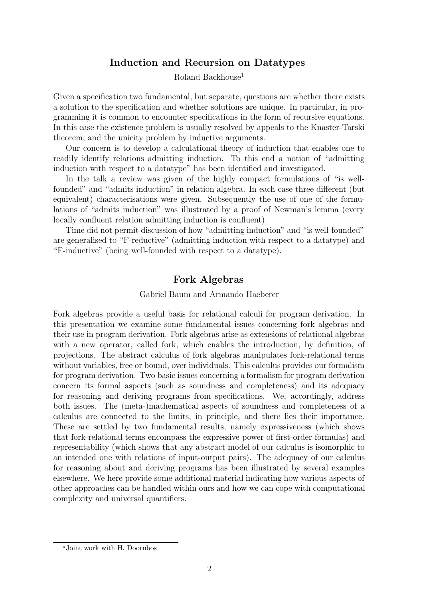# Induction and Recursion on Datatypes

Roland Backhouse<sup>1</sup>

Given a specification two fundamental, but separate, questions are whether there exists a solution to the specification and whether solutions are unique. In particular, in programming it is common to encounter specifications in the form of recursive equations. In this case the existence problem is usually resolved by appeals to the Knaster-Tarski theorem, and the unicity problem by inductive arguments.

Our concern is to develop a calculational theory of induction that enables one to readily identify relations admitting induction. To this end a notion of "admitting induction with respect to a datatype" has been identified and investigated.

In the talk a review was given of the highly compact formulations of "is wellfounded" and "admits induction" in relation algebra. In each case three different (but equivalent) characterisations were given. Subsequently the use of one of the formulations of "admits induction" was illustrated by a proof of Newman's lemma (every locally confluent relation admitting induction is confluent).

Time did not permit discussion of how "admitting induction" and "is well-founded" are generalised to "F-reductive" (admitting induction with respect to a datatype) and "F-inductive" (being well-founded with respect to a datatype).

# Fork Algebras

#### Gabriel Baum and Armando Haeberer

Fork algebras provide a useful basis for relational calculi for program derivation. In this presentation we examine some fundamental issues concerning fork algebras and their use in program derivation. Fork algebras arise as extensions of relational algebras with a new operator, called fork, which enables the introduction, by definition, of projections. The abstract calculus of fork algebras manipulates fork-relational terms without variables, free or bound, over individuals. This calculus provides our formalism for program derivation. Two basic issues concerning a formalism for program derivation concern its formal aspects (such as soundness and completeness) and its adequacy for reasoning and deriving programs from specifications. We, accordingly, address both issues. The (meta-)mathematical aspects of soundness and completeness of a calculus are connected to the limits, in principle, and there lies their importance. These are settled by two fundamental results, namely expressiveness (which shows that fork-relational terms encompass the expressive power of first-order formulas) and representability (which shows that any abstract model of our calculus is isomorphic to an intended one with relations of input-output pairs). The adequacy of our calculus for reasoning about and deriving programs has been illustrated by several examples elsewhere. We here provide some additional material indicating how various aspects of other approaches can be handled within ours and how we can cope with computational complexity and universal quantifiers.

Joint work with H. Doornbos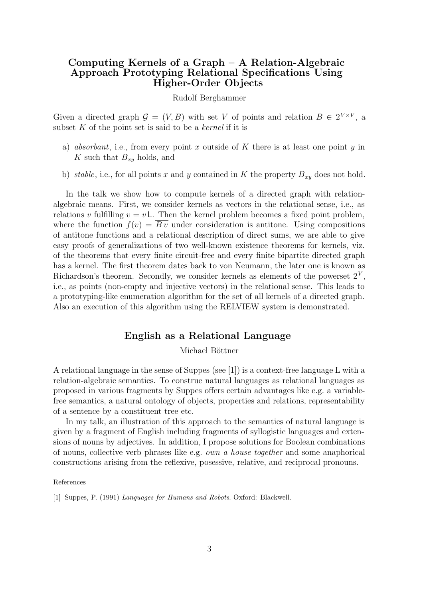# Computing Kernels of a Graph – A Relation-Algebraic Approach Prototyping Relational Specifications Using Higher-Order Objects

#### Rudolf Berghammer

Given a directed graph  $\mathcal{G} = (V, B)$  with set V of points and relation  $B \in 2^{V \times V}$ , a subset  $K$  of the point set is said to be a *kernel* if it is

- a) absorbant, i.e., from every point x outside of K there is at least one point y in K such that  $B_{xy}$  holds, and
- b) stable, i.e., for all points x and y contained in K the property  $B_{xy}$  does not hold.

In the talk we show how to compute kernels of a directed graph with relationalgebraic means. First, we consider kernels as vectors in the relational sense, i.e., as relations v fulfilling  $v = v L$ . Then the kernel problem becomes a fixed point problem, where the function  $f(v) = \overline{B}v$  under consideration is antitone. Using compositions of antitone functions and a relational description of direct sums, we are able to give easy proofs of generalizations of two well-known existence theorems for kernels, viz. of the theorems that every finite circuit-free and every finite bipartite directed graph has a kernel. The first theorem dates back to von Neumann, the later one is known as Richardson's theorem. Secondly, we consider kernels as elements of the powerset  $2^V$ , i.e., as points (non-empty and injective vectors) in the relational sense. This leads to a prototyping-like enumeration algorithm for the set of all kernels of a directed graph. Also an execution of this algorithm using the RELVIEW system is demonstrated.

### English as a Relational Language

#### Michael Böttner

A relational language in the sense of Suppes (see [1]) is a context-free language L with a relation-algebraic semantics. To construe natural languages as relational languages as proposed in various fragments by Suppes offers certain advantages like e.g. a variablefree semantics, a natural ontology of objects, properties and relations, representability of a sentence by a constituent tree etc.

In my talk, an illustration of this approach to the semantics of natural language is given by a fragment of English including fragments of syllogistic languages and extensions of nouns by adjectives. In addition, I propose solutions for Boolean combinations of nouns, collective verb phrases like e.g. own a house together and some anaphorical constructions arising from the reflexive, posessive, relative, and reciprocal pronouns.

#### References

[1] Suppes, P. (1991) Languages for Humans and Robots. Oxford: Blackwell.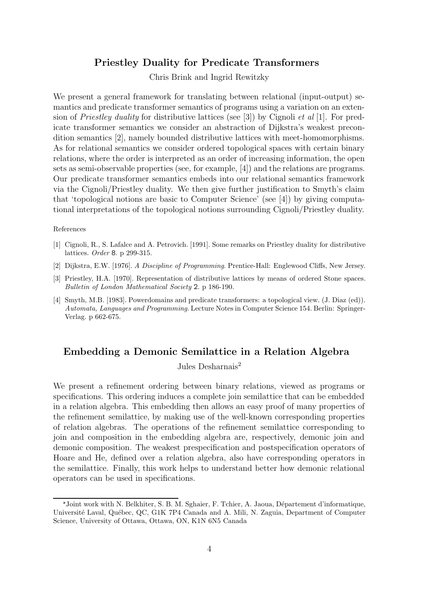# Priestley Duality for Predicate Transformers

Chris Brink and Ingrid Rewitzky

We present a general framework for translating between relational (input-output) semantics and predicate transformer semantics of programs using a variation on an extension of *Priestley duality* for distributive lattices (see [3]) by Cignoli *et al* [1]. For predicate transformer semantics we consider an abstraction of Dijkstra's weakest precondition semantics [2], namely bounded distributive lattices with meet-homomorphisms. As for relational semantics we consider ordered topological spaces with certain binary relations, where the order is interpreted as an order of increasing information, the open sets as semi-observable properties (see, for example, [4]) and the relations are programs. Our predicate transformer semantics embeds into our relational semantics framework via the Cignoli/Priestley duality. We then give further justification to Smyth's claim that 'topological notions are basic to Computer Science' (see [4]) by giving computational interpretations of the topological notions surrounding Cignoli/Priestley duality.

#### References

- [1] Cignoli, R., S. Lafalce and A. Petrovich. [1991]. Some remarks on Priestley duality for distributive lattices. Order 8. p 299-315.
- [2] Dijkstra, E.W. [1976]. A Discipline of Programming. Prentice-Hall: Englewood Cliffs, New Jersey.
- [3] Priestley, H.A. [1970]. Representation of distributive lattices by means of ordered Stone spaces. Bulletin of London Mathematical Society 2. p 186-190.
- [4] Smyth, M.B. [1983]. Powerdomains and predicate transformers: a topological view. (J. Diaz (ed)). Automata, Languages and Programming. Lecture Notes in Computer Science 154. Berlin: Springer-Verlag. p 662-675.

# Embedding a Demonic Semilattice in a Relation Algebra

Jules Desharnais<sup>2</sup>

We present a refinement ordering between binary relations, viewed as programs or specifications. This ordering induces a complete join semilattice that can be embedded in a relation algebra. This embedding then allows an easy proof of many properties of the refinement semilattice, by making use of the well-known corresponding properties of relation algebras. The operations of the refinement semilattice corresponding to join and composition in the embedding algebra are, respectively, demonic join and demonic composition. The weakest prespecification and postspecification operators of Hoare and He, defined over a relation algebra, also have corresponding operators in the semilattice. Finally, this work helps to understand better how demonic relational operators can be used in specifications.

<sup>&</sup>lt;sup>2</sup> Joint work with N. Belkhiter, S. B. M. Sghaier, F. Tchier, A. Jaoua, Département d'informatique, Université Laval, Québec, QC, G1K 7P4 Canada and A. Mili, N. Zaguia, Department of Computer Science, University of Ottawa, Ottawa, ON, K1N 6N5 Canada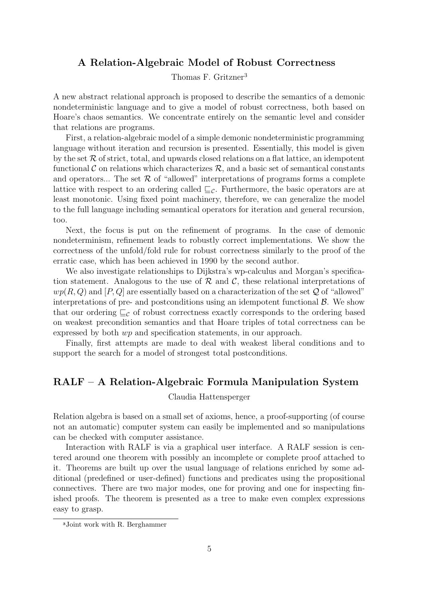# A Relation-Algebraic Model of Robust Correctness

Thomas F. Gritzner<sup>3</sup>

A new abstract relational approach is proposed to describe the semantics of a demonic nondeterministic language and to give a model of robust correctness, both based on Hoare's chaos semantics. We concentrate entirely on the semantic level and consider that relations are programs.

First, a relation-algebraic model of a simple demonic nondeterministic programming language without iteration and recursion is presented. Essentially, this model is given by the set  $R$  of strict, total, and upwards closed relations on a flat lattice, an idempotent functional C on relations which characterizes  $\mathcal{R}$ , and a basic set of semantical constants and operators... The set  $R$  of "allowed" interpretations of programs forms a complete lattice with respect to an ordering called  $\sqsubseteq_{\mathcal{C}}$ . Furthermore, the basic operators are at least monotonic. Using fixed point machinery, therefore, we can generalize the model to the full language including semantical operators for iteration and general recursion, too.

Next, the focus is put on the refinement of programs. In the case of demonic nondeterminism, refinement leads to robustly correct implementations. We show the correctness of the unfold/fold rule for robust correctness similarly to the proof of the erratic case, which has been achieved in 1990 by the second author.

We also investigate relationships to Dijkstra's wp-calculus and Morgan's specification statement. Analogous to the use of  $\mathcal R$  and  $\mathcal C$ , these relational interpretations of  $wp(R, Q)$  and  $[P, Q]$  are essentially based on a characterization of the set Q of "allowed" interpretations of pre- and postconditions using an idempotent functional  $\beta$ . We show that our ordering  $\sqsubseteq_{\mathcal{C}}$  of robust correctness exactly corresponds to the ordering based on weakest precondition semantics and that Hoare triples of total correctness can be expressed by both wp and specification statements, in our approach.

Finally, first attempts are made to deal with weakest liberal conditions and to support the search for a model of strongest total postconditions.

# RALF – A Relation-Algebraic Formula Manipulation System

### Claudia Hattensperger

Relation algebra is based on a small set of axioms, hence, a proof-supporting (of course not an automatic) computer system can easily be implemented and so manipulations can be checked with computer assistance.

Interaction with RALF is via a graphical user interface. A RALF session is centered around one theorem with possibly an incomplete or complete proof attached to it. Theorems are built up over the usual language of relations enriched by some additional (predefined or user-defined) functions and predicates using the propositional connectives. There are two major modes, one for proving and one for inspecting finished proofs. The theorem is presented as a tree to make even complex expressions easy to grasp.

Joint work with R. Berghammer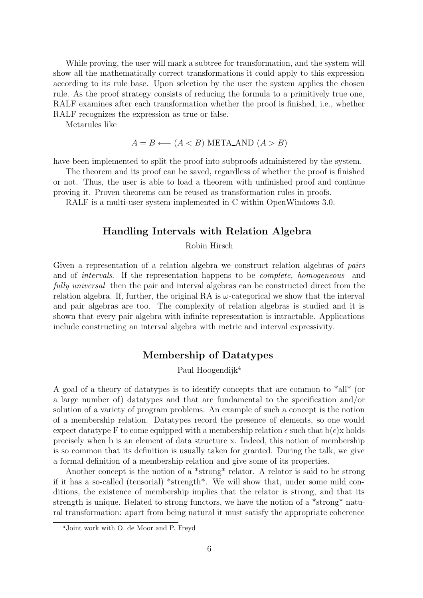While proving, the user will mark a subtree for transformation, and the system will show all the mathematically correct transformations it could apply to this expression according to its rule base. Upon selection by the user the system applies the chosen rule. As the proof strategy consists of reducing the formula to a primitively true one, RALF examines after each transformation whether the proof is finished, i.e., whether RALF recognizes the expression as true or false.

Metarules like

$$
A = B \longleftarrow (A < B) \text{ META} \text{ AND } (A > B)
$$

have been implemented to split the proof into subproofs administered by the system.

The theorem and its proof can be saved, regardless of whether the proof is finished or not. Thus, the user is able to load a theorem with unfinished proof and continue proving it. Proven theorems can be reused as transformation rules in proofs.

RALF is a multi-user system implemented in C within OpenWindows 3.0.

# Handling Intervals with Relation Algebra

Robin Hirsch

Given a representation of a relation algebra we construct relation algebras of pairs and of intervals. If the representation happens to be complete, homogeneous and fully universal then the pair and interval algebras can be constructed direct from the relation algebra. If, further, the original RA is  $\omega$ -categorical we show that the interval and pair algebras are too. The complexity of relation algebras is studied and it is shown that every pair algebra with infinite representation is intractable. Applications include constructing an interval algebra with metric and interval expressivity.

### Membership of Datatypes

Paul Hoogendijk<sup>4</sup>

A goal of a theory of datatypes is to identify concepts that are common to \*all\* (or a large number of) datatypes and that are fundamental to the specification and/or solution of a variety of program problems. An example of such a concept is the notion of a membership relation. Datatypes record the presence of elements, so one would expect datatype F to come equipped with a membership relation  $\epsilon$  such that  $b(\epsilon)x$  holds precisely when b is an element of data structure x. Indeed, this notion of membership is so common that its definition is usually taken for granted. During the talk, we give a formal definition of a membership relation and give some of its properties.

Another concept is the notion of a \*strong\* relator. A relator is said to be strong if it has a so-called (tensorial) \*strength\*. We will show that, under some mild conditions, the existence of membership implies that the relator is strong, and that its strength is unique. Related to strong functors, we have the notion of a \*strong\* natural transformation: apart from being natural it must satisfy the appropriate coherence

Joint work with O. de Moor and P. Freyd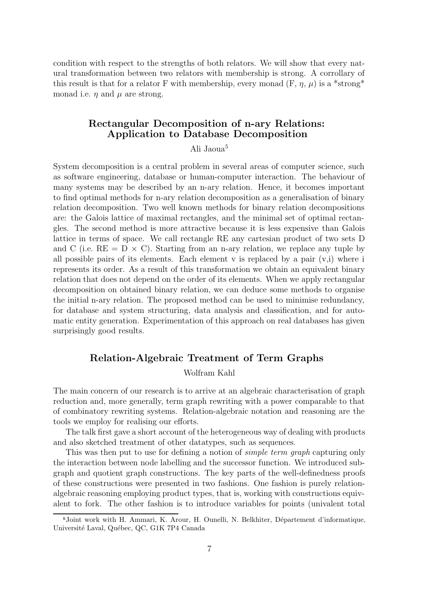condition with respect to the strengths of both relators. We will show that every natural transformation between two relators with membership is strong. A corrollary of this result is that for a relator F with membership, every monad  $(F, \eta, \mu)$  is a \*strong\* monad i.e.  $\eta$  and  $\mu$  are strong.

# Rectangular Decomposition of n-ary Relations: Application to Database Decomposition

### Ali Jaoua<sup>5</sup>

System decomposition is a central problem in several areas of computer science, such as software engineering, database or human-computer interaction. The behaviour of many systems may be described by an n-ary relation. Hence, it becomes important to find optimal methods for n-ary relation decomposition as a generalisation of binary relation decomposition. Two well known methods for binary relation decompositions are: the Galois lattice of maximal rectangles, and the minimal set of optimal rectangles. The second method is more attractive because it is less expensive than Galois lattice in terms of space. We call rectangle RE any cartesian product of two sets D and C (i.e.  $RE = D \times C$ ). Starting from an n-ary relation, we replace any tuple by all possible pairs of its elements. Each element  $v$  is replaced by a pair  $(v,i)$  where i represents its order. As a result of this transformation we obtain an equivalent binary relation that does not depend on the order of its elements. When we apply rectangular decomposition on obtained binary relation, we can deduce some methods to organise the initial n-ary relation. The proposed method can be used to minimise redundancy, for database and system structuring, data analysis and classification, and for automatic entity generation. Experimentation of this approach on real databases has given surprisingly good results.

# Relation-Algebraic Treatment of Term Graphs

### Wolfram Kahl

The main concern of our research is to arrive at an algebraic characterisation of graph reduction and, more generally, term graph rewriting with a power comparable to that of combinatory rewriting systems. Relation-algebraic notation and reasoning are the tools we employ for realising our efforts.

The talk first gave a short account of the heterogeneous way of dealing with products and also sketched treatment of other datatypes, such as sequences.

This was then put to use for defining a notion of *simple term graph* capturing only the interaction between node labelling and the successor function. We introduced subgraph and quotient graph constructions. The key parts of the well-definedness proofs of these constructions were presented in two fashions. One fashion is purely relationalgebraic reasoning employing product types, that is, working with constructions equivalent to fork. The other fashion is to introduce variables for points (univalent total

<sup>&</sup>lt;sup>5</sup>Joint work with H. Ammari, K. Arour, H. Ounelli, N. Belkhiter, Département d'informatique, Université Laval, Québec, QC, G1K 7P4 Canada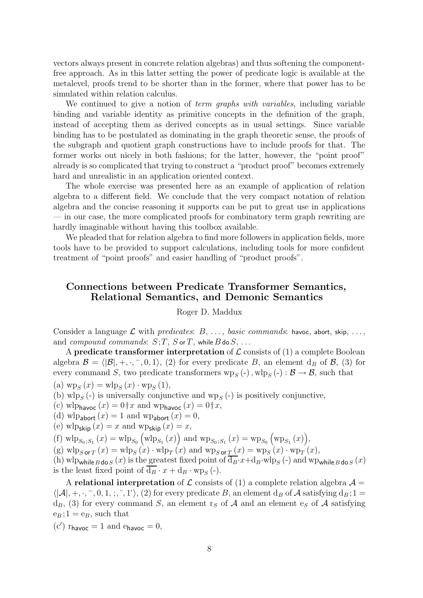vectors always present in concrete relation algebras) and thus softening the componentfree approach. As in this latter setting the power of predicate logic is available at the metalevel, proofs trend to be shorter than in the former, where that power has to be simulated within relation calculus.

We continued to give a notion of *term graphs with variables*, including variable binding and variable identity as primitive concepts in the definition of the graph, instead of accepting them as derived concepts as in usual settings. Since variable binding has to be postulated as dominating in the graph theoretic sense, the proofs of the subgraph and quotient graph constructions have to include proofs for that. The former works out nicely in both fashions; for the latter, however, the "point proof" already is so complicated that trying to construct a "product proof" becomes extremely hard and unrealistic in an application oriented context.

The whole exercise was presented here as an example of application of relation algebra to a different field. We conclude that the very compact notation of relation algebra and the concise reasoning it supports can be put to great use in applications — in our case, the more complicated proofs for combinatory term graph rewriting are hardly imaginable without having this toolbox available.

We pleaded that for relation algebra to find more followers in application fields, more tools have to be provided to support calculations, including tools for more confident treatment of "point proofs" and easier handling of "product proofs".

# Connections between Predicate Transformer Semantics, Relational Semantics, and Demonic Semantics

#### Roger D. Maddux

Consider a language L with predicates:  $B, \ldots$ , basic commands: havoe, abort, skip, ..., and compound commands:  $S$ ;  $T$ ,  $S$  or  $T$ , while  $B$  do  $S$ , ...

A predicate transformer interpretation of  $\mathcal L$  consists of (1) a complete Boolean algebra  $\mathcal{B} = \langle |\mathcal{B}|, +, \cdot, -, 0, 1 \rangle$ , (2) for every predicate B, an element d<sub>B</sub> of B, (3) for every command S, two predicate transformers  $wp_S(-)$ ,  $wlp_S(-) : \mathcal{B} \to \mathcal{B}$ , such that

(a)  $wp_S(x) = wlp_S(x) \cdot wp_S(1),$ 

(b)  $\text{wlp}_S(-)$  is universally conjunctive and  $\text{wlp}_S(-)$  is positively conjunctive,

- (c) wlp<sub>havoc</sub>  $(x) = 0$ †x and wp<sub>havoc</sub>  $(x) = 0$ †x,
- (d) wlp<sub>abort</sub>  $(x) = 1$  and wp<sub>abort</sub>  $(x) = 0$ ,
- (e) wlp<sub>skip</sub>  $(x) = x$  and wp<sub>skip</sub>  $(x) = x$ ,

(f)  $\text{wlp}_{S_0;S_1}(x) = \text{wlp}_{S_0}(\text{wlp}_{S_1}(x))$  and  $\text{wp}_{S_0;S_1}(x) = \text{wp}_{S_0}(\text{wp}_{S_1}(x)),$ 

(g)  $\text{wlp}_{S \text{ or } T}(x) = \text{wlp}_{S}(x) \cdot \text{wlp}_{T}(x)$  and  $\text{wlp}_{S \text{ or } T}(x) = \text{wlp}_{S}(x) \cdot \text{wlp}_{T}(x)$ ,

(h) wlp<sub>while B</sub> do s (x) is the greatest fixed point of  $\overline{d_B}\cdot x + d_B\cdot w \cdot p_S$  (-) and wp<sub>while B</sub> do s (x) is the least fixed point of  $d_B \cdot x + d_B \cdot w p_S$  (-).

A relational interpretation of  $\mathcal L$  consists of (1) a complete relation algebra  $\mathcal A$  =  $\langle |A|, +, \cdot, \overline{\phantom{0}}, 0, 1, ;\cdot, \overline{\phantom{0}}, 1 \rangle$  (2) for every predicate B, an element  $d_B$  of A satisfying  $d_B$ ; 1  $d_B$ , (3) for every command S, an element rs of A and an element es of A satisfying  $e_B$ ; 1 =  $e_B$ , such that

 $(c')$   $r_{\text{havoc}} = 1$  and  $e_{\text{havoc}} = 0$ ,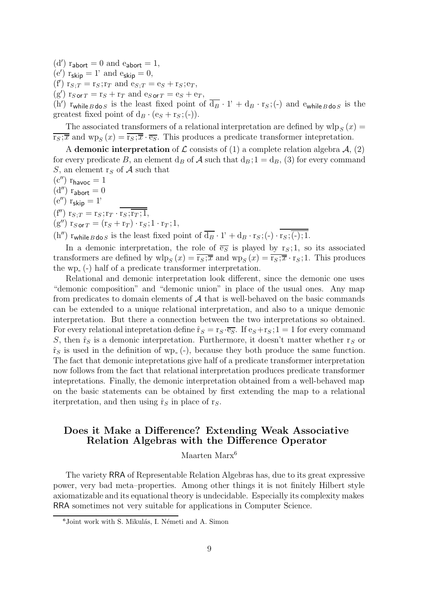(d')  $r_{\text{abort}} = 0$  and  $e_{\text{abort}} = 1$ ,

- (e')  $r_{\textbf{skip}} = 1$ , and  $e_{\textbf{skip}} = 0$ ,
- (f')  $r_{S;T} = r_S; r_T$  and  $e_{S;T} = e_S + r_S; e_T$ ,

 $(g')$   $r_{S \text{ or } T} = r_S + r_T$  and  $e_{S \text{ or } T} = e_S + e_T$ ,

(h')  $r_{\text{while }B\text{ do }S}$  is the least fixed point of  $\overline{d_B} \cdot 1' + d_B \cdot r_S$ ; (-) and  $e_{\text{while }B\text{ do }S}$  is the greatest fixed point of  $d_B \cdot (e_S + r_S; (-))$ .

The associated transformers of a relational interpretation are defined by  $\mathrm{wlp}_S(x) =$  $\overline{r_S;\overline{x}}$  and  $wp_S(x) = \overline{r_S;\overline{x}} \cdot \overline{e_S}$ . This produces a predicate transformer intepretation.

A demonic interpretation of  $\mathcal L$  consists of (1) a complete relation algebra  $\mathcal A$ , (2) for every predicate B, an element  $d_B$  of A such that  $d_B$ ;  $1 = d_B$ , (3) for every command S, an element  $r<sub>S</sub>$  of A such that

- $(c'')$  r<sub>havoc</sub> = 1
- $(d'')$  r<sub>abort</sub> = 0
- $(e'')$  r<sub>skip</sub> = 1'
- (f'')  $r_{S;T} = r_S; r_T \cdot \overline{r_S; \overline{r_T; 1}},$
- $(g'')$   $\mathbf{r}_{S \text{ or } T} = (\mathbf{r}_S + \mathbf{r}_T) \cdot \mathbf{r}_S ; 1 \cdot \mathbf{r}_T ; 1,$

(h'')  $\lim_{x \to a} \frac{\log x}{\log x}$  is the least fixed point of  $\overline{d}_B \cdot 1' + d_B \cdot r_S$ ; (-)  $\cdot \overline{r_S; (-)$ ; 1.

In a demonic interpretation, the role of  $\overline{e_S}$  is played by r<sub>S</sub>; 1, so its associated transformers are defined by  $\text{wlp}_S(x) = \overline{\text{r}_S; \overline{x}}$  and  $\text{wp}_S(x) = \overline{\text{r}_S; \overline{x}} \cdot \text{r}_S; 1$ . This produces the wp- (-) half of a predicate transformer interpretation.

Relational and demonic interpretation look different, since the demonic one uses "demonic composition" and "demonic union" in place of the usual ones. Any map from predicates to domain elements of  $A$  that is well-behaved on the basic commands can be extended to a unique relational interpretation, and also to a unique demonic interpretation. But there a connection between the two interpretations so obtained. For every relational intepretation define  $\hat{r}_S = r_S \cdot \overline{e_S}$ . If  $e_S+r_S$ ; 1 = 1 for every command S, then  $\hat{r}_S$  is a demonic interpretation. Furthermore, it doesn't matter whether  $r_S$  or  $\hat{r}_S$  is used in the definition of wp<sub>-</sub>(-), because they both produce the same function. The fact that demonic intepretations give half of a predicate transformer interpretation now follows from the fact that relational interpretation produces predicate transformer intepretations. Finally, the demonic interpretation obtained from a well-behaved map on the basic statements can be obtained by first extending the map to a relational iterpretation, and then using  $\hat{r}_S$  in place of r<sub>S</sub>.

# Does it Make a Difference? Extending Weak Associative Relation Algebras with the Difference Operator

Maarten Marx<sup>6</sup>

The variety RRA of Representable Relation Algebras has, due to its great expressive power, very bad meta–properties. Among other things it is not finitely Hilbert style axiomatizable and its equational theory is undecidable. Especially its complexity makes RRA sometimes not very suitable for applications in Computer Science.

 $\delta$ Joint work with S. Mikulás, I. Németi and A. Simon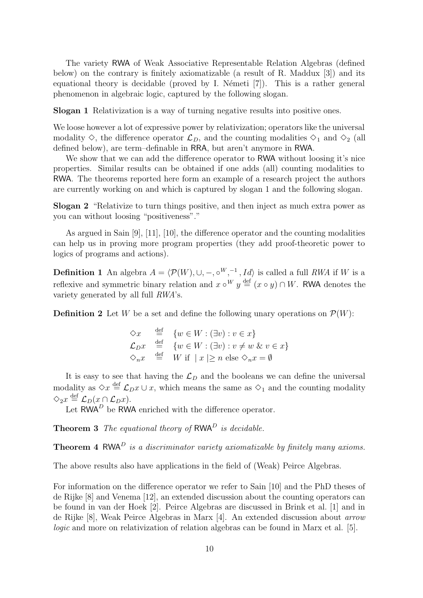The variety RWA of Weak Associative Representable Relation Algebras (defined below) on the contrary is finitely axiomatizable (a result of R. Maddux [3]) and its equational theory is decidable (proved by I. Németi  $[7]$ ). This is a rather general phenomenon in algebraic logic, captured by the following slogan.

Slogan 1 Relativization is a way of turning negative results into positive ones.

We loose however a lot of expressive power by relativization; operators like the universal modality  $\Diamond$ , the difference operator  $\mathcal{L}_D$ , and the counting modalities  $\Diamond_1$  and  $\Diamond_2$  (all defined below), are term–definable in RRA, but aren't anymore in RWA.

We show that we can add the difference operator to RWA without loosing it's nice properties. Similar results can be obtained if one adds (all) counting modalities to RWA. The theorems reported here form an example of a research project the authors are currently working on and which is captured by slogan 1 and the following slogan.

Slogan 2 "Relativize to turn things positive, and then inject as much extra power as you can without loosing "positiveness"."

As argued in Sain [9], [11], [10], the difference operator and the counting modalities can help us in proving more program properties (they add proof-theoretic power to logics of programs and actions).

**Definition 1** An algebra  $A = \langle \mathcal{P}(W), \cup, -, \circ^W, ^{-1}, Id \rangle$  is called a full RWA if W is a reflexive and symmetric binary relation and  $x \circ^W y \stackrel{\text{def}}{=} (x \circ y) \cap W$ . RWA denotes the variety generated by all full RWA's.

**Definition 2** Let W be a set and define the following unary operations on  $\mathcal{P}(W)$ :

 $\Diamond x \equiv \{w \in W : (\exists v) : v \in x\}$  $\mathcal{L}_D x \stackrel{\text{def}}{=} \{w \in W : (\exists v) : v \neq w \& v \in x\}$  $\Diamond_n x \stackrel{\text{def}}{=} W$  if  $|x| \geq n$  else  $\Diamond_n x = \emptyset$ 

It is easy to see that having the  $\mathcal{L}_D$  and the booleans we can define the universal modality as  $\Diamond x \stackrel{\text{def}}{=} \mathcal{L}_D x \cup x$ , which means the same as  $\Diamond_1$  and the counting modality  $\Diamond_2 x \stackrel{\text{def}}{=} \mathcal{L}_D(x \cap \mathcal{L}_D x).$ 

Let  $\mathsf{RWA}^D$  be  $\mathsf{RWA}$  enriched with the difference operator.

**Theorem 3** The equational theory of  $RWA<sup>D</sup>$  is decidable.

**Theorem 4 RWA**<sup>D</sup> is a discriminator variety axiomatizable by finitely many axioms.

The above results also have applications in the field of (Weak) Peirce Algebras.

For information on the difference operator we refer to Sain [10] and the PhD theses of de Rijke [8] and Venema [12], an extended discussion about the counting operators can be found in van der Hoek [2]. Peirce Algebras are discussed in Brink et al. [1] and in de Rijke [8], Weak Peirce Algebras in Marx [4]. An extended discussion about arrow logic and more on relativization of relation algebras can be found in Marx et al. [5].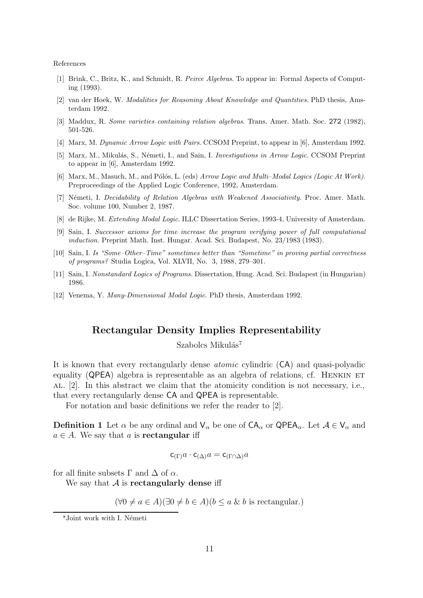References

- [1] Brink, C., Britz, K., and Schmidt, R. Peirce Algebras. To appear in: Formal Aspects of Computing (1993).
- [2] van der Hoek, W. Modalities for Reasoning About Knowledge and Quantities. PhD thesis, Amsterdam 1992.
- [3] Maddux, R. Some varieties containing relation algebras. Trans. Amer. Math. Soc. 272 (1982), 501-526.
- [4] Marx, M. Dynamic Arrow Logic with Pairs. CCSOM Preprint, to appear in [6], Amsterdam 1992.
- [5] Marx, M., Mikulás, S., Németi, I., and Sain, I. *Investigations in Arrow Logic.* CCSOM Preprint to appear in [6], Amsterdam 1992.
- [6] Marx, M., Masuch, M., and Pólós, L. (eds) Arrow Logic and Multi–Modal Logics (Logic At Work). Preproceedings of the Applied Logic Conference, 1992, Amsterdam.
- [7] Németi, I. Decidability of Relation Algebras with Weakened Associativity. Proc. Amer. Math. Soc. volume 100, Number 2, 1987.
- [8] de Rijke, M. Extending Modal Logic. ILLC Dissertation Series, 1993-4, University of Amsterdam.
- [9] Sain, I. Successor axioms for time increase the program verifying power of full computational induction. Preprint Math. Inst. Hungar. Acad. Sci. Budapest, No. 23/1983 (1983).
- [10] Sain, I. Is "Some–Other–Time" sometimes better than "Sometime" in proving partial correctness of programs? Studia Logica, Vol. XLVII, No. 3, 1988, 279–301.
- [11] Sain, I. Nonstandard Logics of Programs. Dissertation, Hung. Acad. Sci. Budapest (in Hungarian) 1986.
- [12] Venema, Y. Many-Dimensional Modal Logic. PhD thesis, Amsterdam 1992.

### Rectangular Density Implies Representability

Szabolcs Mikulás<sup>7</sup>

It is known that every rectangularly dense atomic cylindric (CA) and quasi-polyadic equality (QPEA) algebra is representable as an algebra of relations, cf. HENKIN ET al. [2]. In this abstract we claim that the atomicity condition is not necessary, i.e., that every rectangularly dense CA and QPEA is representable.

For notation and basic definitions we refer the reader to [2].

**Definition 1** Let  $\alpha$  be any ordinal and  $V_{\alpha}$  be one of  $CA_{\alpha}$  or  $QPEA_{\alpha}$ . Let  $A \in V_{\alpha}$  and  $a \in A$ . We say that a is **rectangular** iff

$$
\mathsf{c}_{(\Gamma)}a\cdot\mathsf{c}_{(\Delta)}a=\mathsf{c}_{(\Gamma\cap\Delta)}a
$$

for all finite subsets  $\Gamma$  and  $\Delta$  of  $\alpha$ .

We say that  $A$  is rectangularly dense iff

 $(\forall 0 \neq a \in A)(\exists 0 \neq b \in A)(b \leq a \& b$  is rectangular.)

<sup>&</sup>lt;sup>7</sup>Joint work with I. Németi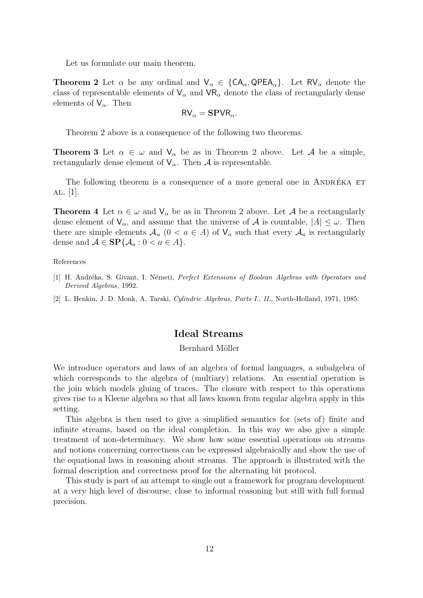Let us formulate our main theorem.

**Theorem 2** Let  $\alpha$  be any ordinal and  $V_{\alpha} \in \{CA_{\alpha}, QPEA_{\alpha}\}\$ . Let  $RV_{\alpha}$  denote the class of representable elements of  $V_{\alpha}$  and  $VR_{\alpha}$  denote the class of rectangularly dense elements of  $V_{\alpha}$ . Then

$$
RV_{\alpha} = \text{SPVR}_{\alpha}.
$$

Theorem 2 above is a consequence of the following two theorems.

**Theorem 3** Let  $\alpha \in \omega$  and  $V_{\alpha}$  be as in Theorem 2 above. Let A be a simple, rectangularly dense element of  $V_{\alpha}$ . Then A is representable.

The following theorem is a consequence of a more general one in ANDRÉKA ET al. [1].

**Theorem 4** Let  $\alpha \in \omega$  and  $V_{\alpha}$  be as in Theorem 2 above. Let A be a rectangularly dense element of  $V_{\alpha}$ , and assume that the universe of A is countable,  $|A| \leq \omega$ . Then there are simple elements  $A_a$   $(0 < a \in A)$  of  $V_\alpha$  such that every  $A_a$  is rectangularly dense and  $A \in \mathbf{SP}{A_a : 0 < a \in A}$ .

#### References

- [1] H. Andréka, S. Givant, I. Németi, *Perfect Extensions of Boolean Algebras with Operators and* Derived Algebras, 1992.
- [2] L. Henkin, J. D. Monk, A. Tarski, Cylindric Algebras, Parts I., II., North-Holland, 1971, 1985.

### Ideal Streams

#### Bernhard Möller

We introduce operators and laws of an algebra of formal languages, a subalgebra of which corresponds to the algebra of (multiary) relations. An essential operation is the join which models gluing of traces. The closure with respect to this operations gives rise to a Kleene algebra so that all laws known from regular algebra apply in this setting.

This algebra is then used to give a simplified semantics for (sets of) finite and infinite streams, based on the ideal completion. In this way we also give a simple treatment of non-determinacy. We show how some essential operations on streams and notions concerning correctness can be expressed algebraically and show the use of the equational laws in reasoning about streams. The approach is illustrated with the formal description and correctness proof for the alternating bit protocol.

This study is part of an attempt to single out a framework for program development at a very high level of discourse, close to informal reasoning but still with full formal precision.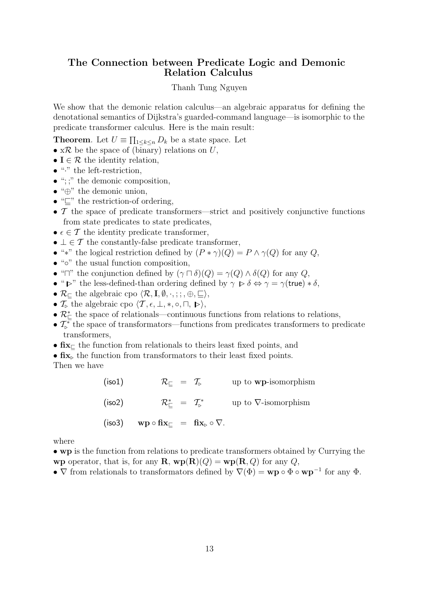# The Connection between Predicate Logic and Demonic Relation Calculus

### Thanh Tung Nguyen

We show that the demonic relation calculus—an algebraic apparatus for defining the denotational semantics of Dijkstra's guarded-command language—is isomorphic to the predicate transformer calculus. Here is the main result:

**Theorem**. Let  $U \equiv \prod_{1 \leq k \leq n} D_k$  be a state space. Let

- $x \mathcal{R}$  be the space of (binary) relations on U,
- $I \in \mathcal{R}$  the identity relation,
- $\bullet$  " $\cdot$ " the left-restriction,
- $\bullet$  ";;" the demonic composition,
- "⊕" the demonic union,
- "⊑" the restriction-of ordering,
- $\mathcal T$  the space of predicate transformers—strict and positively conjunctive functions from state predicates to state predicates,
- $\epsilon \in \mathcal{T}$  the identity predicate transformer,
- $\bot \in \mathcal{T}$  the constantly-false predicate transformer,
- "\*" the logical restriction defined by  $(P * \gamma)(Q) = P \wedge \gamma(Q)$  for any  $Q$ ,
- "◦" the usual function composition,
- " $\Box$ " the conjunction defined by  $(\gamma \Box \delta)(Q) = \gamma(Q) \wedge \delta(Q)$  for any  $Q$ ,
- " $\triangleright$ " the less-defined-than ordering defined by  $\gamma \triangleright \delta \Leftrightarrow \gamma = \gamma$  (true)  $*\delta$ ,
- $\mathcal{R}_{\Box}$  the algebraic cpo  $\langle \mathcal{R}, I, \emptyset, \cdot, ; : , \oplus, \sqsubseteq \rangle$ ,
- $\mathcal{T}_{\triangleright}$  the algebraic cpo  $\langle \mathcal{T}, \epsilon, \perp, *, \circ, \sqcap, \blacktriangleright \rangle$ ,
- $\mathcal{R}_{\Box}^*$  the space of relationals—continuous functions from relations to relations,
- $\mathcal{T}_{\triangleright}^*$  the space of transformators—functions from predicates transformers to predicate transformers,
- fix<sup>⊑</sup> the function from relationals to theirs least fixed points, and
- $\bullet$   $\operatorname{fix}_{\triangleright}$  the function from transformators to their least fixed points.

Then we have

| (iso1) | $\mathcal{R}_{\sqsubset} = \mathcal{T}_{\triangleright}$ | up to <b>wp</b> -isomorphism |
|--------|----------------------------------------------------------|------------------------------|
| (iso2) | $\mathcal{R}_{\vdash}^* = \mathcal{T}_{\vdash}^*$        | up to $\nabla$ -isomorphism  |
|        | (iso3) $wp \circ fix_{\Box} = fix_{\Box} \circ \nabla$ . |                              |

where

• wp is the function from relations to predicate transformers obtained by Currying the wp operator, that is, for any  $\mathbf{R}$ ,  $wp(\mathbf{R})(Q) = wp(\mathbf{R}, Q)$  for any  $Q$ ,

•  $\nabla$  from relationals to transformators defined by  $\nabla(\Phi) = \mathbf{w} \mathbf{p} \circ \Phi \circ \mathbf{w} \mathbf{p}^{-1}$  for any  $\Phi$ .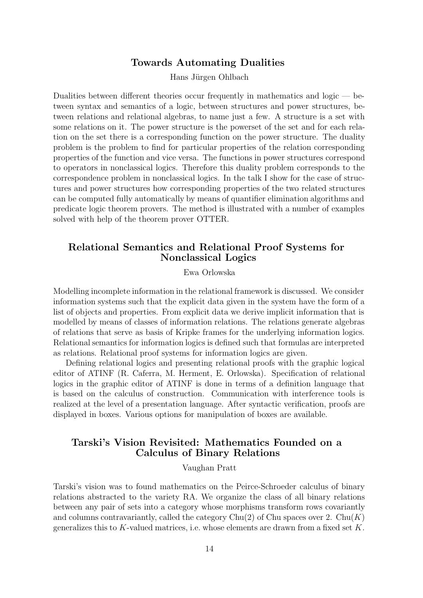# Towards Automating Dualities

Hans Jürgen Ohlbach

Dualities between different theories occur frequently in mathematics and logic — between syntax and semantics of a logic, between structures and power structures, between relations and relational algebras, to name just a few. A structure is a set with some relations on it. The power structure is the powerset of the set and for each relation on the set there is a corresponding function on the power structure. The duality problem is the problem to find for particular properties of the relation corresponding properties of the function and vice versa. The functions in power structures correspond to operators in nonclassical logics. Therefore this duality problem corresponds to the correspondence problem in nonclassical logics. In the talk I show for the case of structures and power structures how corresponding properties of the two related structures can be computed fully automatically by means of quantifier elimination algorithms and predicate logic theorem provers. The method is illustrated with a number of examples solved with help of the theorem prover OTTER.

# Relational Semantics and Relational Proof Systems for Nonclassical Logics

Ewa Orlowska

Modelling incomplete information in the relational framework is discussed. We consider information systems such that the explicit data given in the system have the form of a list of objects and properties. From explicit data we derive implicit information that is modelled by means of classes of information relations. The relations generate algebras of relations that serve as basis of Kripke frames for the underlying information logics. Relational semantics for information logics is defined such that formulas are interpreted as relations. Relational proof systems for information logics are given.

Defining relational logics and presenting relational proofs with the graphic logical editor of ATINF (R. Caferra, M. Herment, E. Orlowska). Specification of relational logics in the graphic editor of ATINF is done in terms of a definition language that is based on the calculus of construction. Communication with interference tools is realized at the level of a presentation language. After syntactic verification, proofs are displayed in boxes. Various options for manipulation of boxes are available.

# Tarski's Vision Revisited: Mathematics Founded on a Calculus of Binary Relations

Vaughan Pratt

Tarski's vision was to found mathematics on the Peirce-Schroeder calculus of binary relations abstracted to the variety RA. We organize the class of all binary relations between any pair of sets into a category whose morphisms transform rows covariantly and columns contravariantly, called the category  $\text{Chu}(2)$  of  $\text{Chu}$  spaces over 2.  $\text{Chu}(K)$ generalizes this to  $K$ -valued matrices, i.e. whose elements are drawn from a fixed set  $K$ .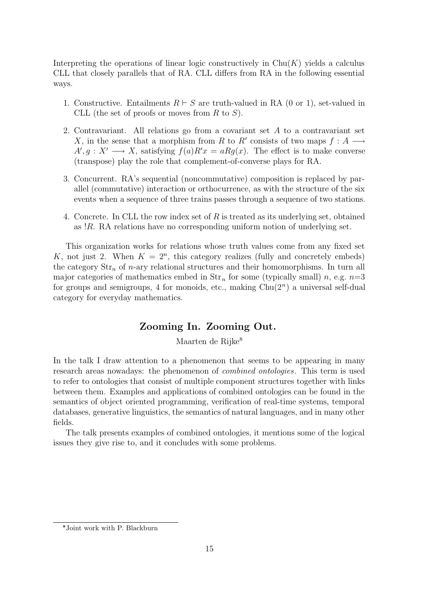Interpreting the operations of linear logic constructively in  $\text{Chu}(K)$  yields a calculus CLL that closely parallels that of RA. CLL differs from RA in the following essential ways.

- 1. Constructive. Entailments  $R \vdash S$  are truth-valued in RA (0 or 1), set-valued in CLL (the set of proofs or moves from R to  $S$ ).
- 2. Contravariant. All relations go from a covariant set A to a contravariant set X, in the sense that a morphism from R to R' consists of two maps  $f : A \longrightarrow$  $A', g: X' \longrightarrow X$ , satisfying  $f(a)R'x = aRg(x)$ . The effect is to make converse (transpose) play the role that complement-of-converse plays for RA.
- 3. Concurrent. RA's sequential (noncommutative) composition is replaced by parallel (commutative) interaction or orthocurrence, as with the structure of the six events when a sequence of three trains passes through a sequence of two stations.
- 4. Concrete. In CLL the row index set of R is treated as its underlying set, obtained as !R. RA relations have no corresponding uniform notion of underlying set.

This organization works for relations whose truth values come from any fixed set K, not just 2. When  $K = 2<sup>n</sup>$ , this category realizes (fully and concretely embeds) the category  $\text{Str}_n$  of *n*-ary relational structures and their homomorphisms. In turn all major categories of mathematics embed in  $\text{Str}_n$  for some (typically small) n, e.g.  $n=3$ for groups and semigroups, 4 for monoids, etc., making  $Chu(2<sup>n</sup>)$  a universal self-dual category for everyday mathematics.

# Zooming In. Zooming Out.

Maarten de Rijke<sup>8</sup>

In the talk I draw attention to a phenomenon that seems to be appearing in many research areas nowadays: the phenomenon of combined ontologies. This term is used to refer to ontologies that consist of multiple component structures together with links between them. Examples and applications of combined ontologies can be found in the semantics of object oriented programming, verification of real-time systems, temporal databases, generative linguistics, the semantics of natural languages, and in many other fields.

The talk presents examples of combined ontologies, it mentions some of the logical issues they give rise to, and it concludes with some problems.

Joint work with P. Blackburn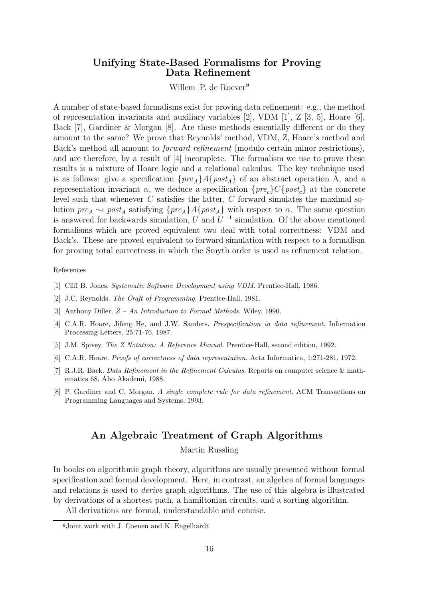# Unifying State-Based Formalisms for Proving Data Refinement

Willem–P. de Roever<sup>9</sup>

A number of state-based formalisms exist for proving data refinement: e.g., the method of representation invariants and auxiliary variables [2], VDM [1], Z [3, 5], Hoare [6], Back [7], Gardiner & Morgan [8]. Are these methods essentially different or do they amount to the same? We prove that Reynolds' method, VDM, Z, Hoare's method and Back's method all amount to forward refinement (modulo certain minor restrictions), and are therefore, by a result of [4] incomplete. The formalism we use to prove these results is a mixture of Hoare logic and a relational calculus. The key technique used is as follows: give a specification  $\{pre_A\}A\{post_A\}$  of an abstract operation A, and a representation invariant  $\alpha$ , we deduce a specification  $\{pre_c\}C\{post_c\}$  at the concrete level such that whenever  $C$  satisfies the latter,  $C$  forward simulates the maximal solution  $pre_A \leadsto post_A$  satisfying  $\{pre_A\}A\{post_A\}$  with respect to  $\alpha$ . The same question is answered for backwards simulation,  $U$  and  $U^{-1}$  simulation. Of the above mentioned formalisms which are proved equivalent two deal with total correctness: VDM and Back's. These are proved equivalent to forward simulation with respect to a formalism for proving total correctness in which the Smyth order is used as refinement relation.

#### References

- [1] Cliff B. Jones. Systematic Software Development using VDM. Prentice-Hall, 1986.
- [2] J.C. Reynolds. The Craft of Programming. Prentice-Hall, 1981.
- [3] Anthony Diller. Z An Introduction to Formal Methods. Wiley, 1990.
- [4] C.A.R. Hoare, Jifeng He, and J.W. Sanders. Prespecification in data refinement. Information Processing Letters, 25:71-76, 1987.
- [5] J.M. Spivey. The Z Notation: A Reference Manual. Prentice-Hall, second edition, 1992.
- [6] C.A.R. Hoare. Proofs of correctness of data representation. Acta Informatica, 1:271-281, 1972.
- [7] R.J.R. Back. Data Refinement in the Refinement Calculus. Reports on computer science & mathematics 68, Åbo Akademi, 1988.
- [8] P. Gardiner and C. Morgan. A single complete rule for data refinement. ACM Transactions on Programming Languages and Systems, 1993.

# An Algebraic Treatment of Graph Algorithms

Martin Russling

In books on algorithmic graph theory, algorithms are usually presented without formal specification and formal development. Here, in contrast, an algebra of formal languages and relations is used to derive graph algorithms. The use of this algebra is illustrated by derivations of a shortest path, a hamiltonian circuits, and a sorting algorithm.

All derivations are formal, understandable and concise.

Joint work with J. Coenen and K. Engelhardt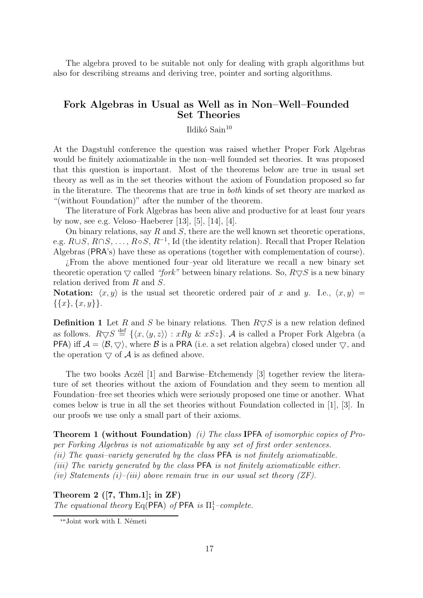The algebra proved to be suitable not only for dealing with graph algorithms but also for describing streams and deriving tree, pointer and sorting algorithms.

# Fork Algebras in Usual as Well as in Non–Well–Founded Set Theories

### Ildikó Sain $10$

At the Dagstuhl conference the question was raised whether Proper Fork Algebras would be finitely axiomatizable in the non–well founded set theories. It was proposed that this question is important. Most of the theorems below are true in usual set theory as well as in the set theories without the axiom of Foundation proposed so far in the literature. The theorems that are true in both kinds of set theory are marked as "(without Foundation)" after the number of the theorem.

The literature of Fork Algebras has been alive and productive for at least four years by now, see e.g. Veloso–Haeberer [13], [5], [14], [4].

On binary relations, say  $R$  and  $S$ , there are the well known set theoretic operations, e.g.  $R\cup S$ ,  $R\cap S$ , ...,  $R\circ S$ ,  $R^{-1}$ , Id (the identity relation). Recall that Proper Relation Algebras (PRA's) have these as operations (together with complementation of course).

¿From the above mentioned four–year old literature we recall a new binary set theoretic operation  $\bigtriangledown$  called "fork" between binary relations. So,  $R \bigtriangledown S$  is a new binary relation derived from R and S.

Notation:  $\langle x, y \rangle$  is the usual set theoretic ordered pair of x and y. I.e.,  $\langle x, y \rangle =$  $\{\{x\}, \{x, y\}\}.$ 

**Definition 1** Let R and S be binary relations. Then  $R \nabla S$  is a new relation defined as follows.  $R\overline{\vee}S \stackrel{\text{def}}{=} {\{\langle x,\langle y,z\rangle\rangle : xRy \& xSz\}}$ . A is called a Proper Fork Algebra (a **PFA**) iff  $\mathcal{A} = \langle \mathcal{B}, \nabla \rangle$ , where  $\mathcal{B}$  is a **PRA** (i.e. a set relation algebra) closed under  $\nabla$ , and the operation  $\bigtriangledown$  of A is as defined above.

The two books Aczél [1] and Barwise–Etchemendy [3] together review the literature of set theories without the axiom of Foundation and they seem to mention all Foundation–free set theories which were seriously proposed one time or another. What comes below is true in all the set theories without Foundation collected in [1], [3]. In our proofs we use only a small part of their axioms.

**Theorem 1 (without Foundation)** (i) The class IPFA of isomorphic copies of Proper Forking Algebras is not axiomatizable by any set of first order sentences.

(ii) The quasi–variety generated by the class PFA is not finitely axiomatizable.

(iii) The variety generated by the class PFA is not finitely axiomatizable either.

(iv) Statements (i)–(iii) above remain true in our usual set theory (ZF).

Theorem 2  $([7, Thm.1];$  in  $ZF)$ The equational theory Eq(PFA) of PFA is  $\Pi^1_1$ –complete.

<sup>&</sup>lt;sup>10</sup>Joint work with I. Németi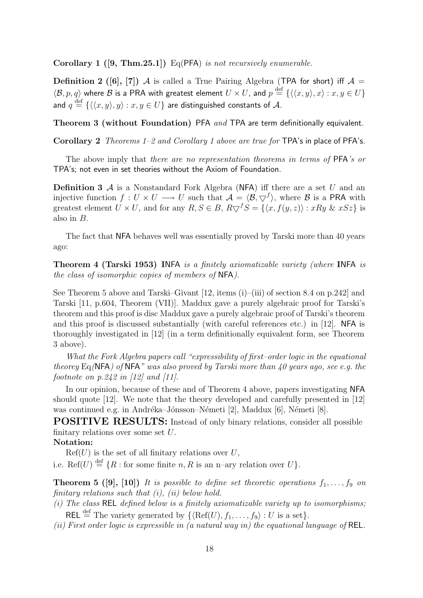Corollary 1  $([9, Thm.25.1])$  Eq(PFA) is not recursively enumerable.

Definition 2 ([6], [7]) A is called a True Pairing Algebra (TPA for short) iff  $A =$  $\langle \mathcal{B}, p, q \rangle$  where  $\mathcal B$  is a PRA with greatest element  $U \times U$ , and  $p \stackrel{\text{def}}{=} \{ \langle \langle x, y \rangle, x \rangle : x, y \in U \}$ and  $q \stackrel{\rm def}{=} \{ \langle \langle x, y \rangle, y \rangle : x, y \in U \}$  are distinguished constants of  $\mathcal{A}.$ 

Theorem 3 (without Foundation) PFA and TPA are term definitionally equivalent.

Corollary 2 Theorems 1–2 and Corollary 1 above are true for TPA's in place of PFA's.

The above imply that *there are no representation theorems in terms of PFA's or* TPA's; not even in set theories without the Axiom of Foundation.

**Definition 3**  $\mathcal A$  is a Nonstandard Fork Algebra (NFA) iff there are a set U and an injective function  $f: U \times U \longrightarrow U$  such that  $\mathcal{A} = \langle \mathcal{B}, \nabla^f \rangle$ , where  $\mathcal{B}$  is a PRA with greatest element  $U \times U$ , and for any  $R, S \in B$ ,  $R \bigtriangledown^{f} S = \{ \langle x, f(y, z) \rangle : xRy \& xSz \}$  is also in B.

The fact that NFA behaves well was essentially proved by Tarski more than 40 years ago:

Theorem 4 (Tarski 1953) INFA is a finitely axiomatizable variety (where INFA is the class of isomorphic copies of members of NFA).

See Theorem 5 above and Tarski–Givant [12, items (i)–(iii) of section 8.4 on p.242] and Tarski [11, p.604, Theorem (VII)]. Maddux gave a purely algebraic proof for Tarski's theorem and this proof is disc Maddux gave a purely algebraic proof of Tarski's theorem and this proof is discussed substantially (with careful references etc.) in [12]. NFA is thoroughly investigated in [12] (in a term definitionally equivalent form, see Theorem 3 above).

What the Fork Algebra papers call "expressibility of first-order logic in the equational theorey Eq(NFA) of NFA" was also proved by Tarski more than 40 years ago, see e.g. the footnote on  $p.242$  in [12] and [11].

In our opinion, because of these and of Theorem 4 above, papers investigating NFA should quote [12]. We note that the theory developed and carefully presented in [12] was continued e.g. in Andréka–Jónsson–Németi [2], Maddux [6], Németi [8].

POSITIVE RESULTS: Instead of only binary relations, consider all possible finitary relations over some set U.

### Notation:

 $Ref(U)$  is the set of all finitary relations over U,

i.e. Ref $(U) \stackrel{\text{def}}{=} \{R : \text{for some finite } n, R \text{ is an } n\text{-ary relation over } U\}.$ 

**Theorem 5 ([9], [10])** It is possible to define set theoretic operations  $f_1, \ldots, f_9$  on finitary relations such that  $(i)$ ,  $(ii)$  below hold.

(i) The class REL defined below is a finitely axiomatizable variety up to isomorphisms;

REL  $\stackrel{\text{def}}{=}$  The variety generated by  $\{\langle \text{Ref}(U), f_1, \ldots, f_9 \rangle : U \text{ is a set} \}.$ 

(ii) First order logic is expressible in (a natural way in) the equational language of REL.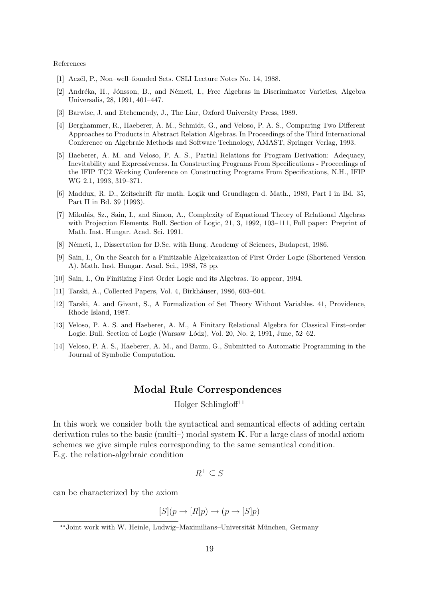References

- [1] Acz´el, P., Non–well–founded Sets. CSLI Lecture Notes No. 14, 1988.
- [2] Andréka, H., Jónsson, B., and Németi, I., Free Algebras in Discriminator Varieties, Algebra Universalis, 28, 1991, 401–447.
- [3] Barwise, J. and Etchemendy, J., The Liar, Oxford University Press, 1989.
- [4] Berghammer, R., Haeberer, A. M., Schmidt, G., and Veloso, P. A. S., Comparing Two Different Approaches to Products in Abstract Relation Algebras. In Proceedings of the Third International Conference on Algebraic Methods and Software Technology, AMAST, Springer Verlag, 1993.
- [5] Haeberer, A. M. and Veloso, P. A. S., Partial Relations for Program Derivation: Adequacy, Inevitability and Expressiveness. In Constructing Programs From Specifications - Proceedings of the IFIP TC2 Working Conference on Constructing Programs From Specifications, N.H., IFIP WG 2.1, 1993, 319–371.
- [6] Maddux, R. D., Zeitschrift für math. Logik und Grundlagen d. Math., 1989, Part I in Bd. 35, Part II in Bd. 39 (1993).
- [7] Mikulás, Sz., Sain, I., and Simon, A., Complexity of Equational Theory of Relational Algebras with Projection Elements. Bull. Section of Logic, 21, 3, 1992, 103–111, Full paper: Preprint of Math. Inst. Hungar. Acad. Sci. 1991.
- [8] Németi, I., Dissertation for D.Sc. with Hung. Academy of Sciences, Budapest, 1986.
- [9] Sain, I., On the Search for a Finitizable Algebraization of First Order Logic (Shortened Version A). Math. Inst. Hungar. Acad. Sci., 1988, 78 pp.
- [10] Sain, I., On Finitizing First Order Logic and its Algebras. To appear, 1994.
- [11] Tarski, A., Collected Papers, Vol. 4, Birkhäuser, 1986, 603–604.
- [12] Tarski, A. and Givant, S., A Formalization of Set Theory Without Variables. 41, Providence, Rhode Island, 1987.
- [13] Veloso, P. A. S. and Haeberer, A. M., A Finitary Relational Algebra for Classical First–order Logic. Bull. Section of Logic (Warsaw–Lódz), Vol. 20, No. 2, 1991, June,  $52-62$ .
- [14] Veloso, P. A. S., Haeberer, A. M., and Baum, G., Submitted to Automatic Programming in the Journal of Symbolic Computation.

### Modal Rule Correspondences

Holger Schlingloff<sup>11</sup>

In this work we consider both the syntactical and semantical effects of adding certain derivation rules to the basic (multi-) modal system  $\bf{K}$ . For a large class of modal axiom schemes we give simple rules corresponding to the same semantical condition. E.g. the relation-algebraic condition

$$
R^+\subseteq S
$$

can be characterized by the axiom

$$
[S](p \to [R]p) \to (p \to [S]p)
$$

<sup>&</sup>lt;sup>11</sup>Joint work with W. Heinle, Ludwig–Maximilians–Universität München, Germany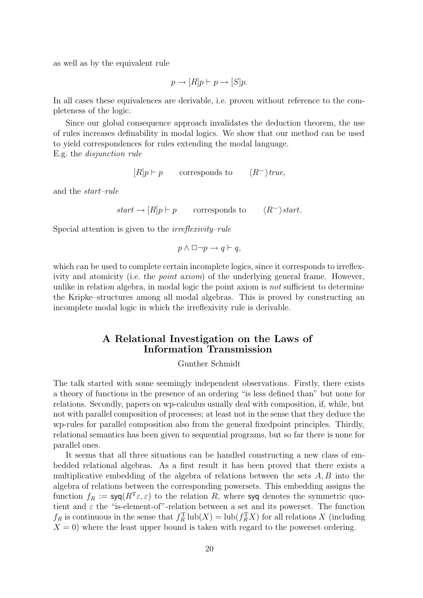as well as by the equivalent rule

$$
p \to [R]p \vdash p \to [S]p.
$$

In all cases these equivalences are derivable, i.e. proven without reference to the completeness of the logic.

Since our global consequence approach invalidates the deduction theorem, the use of rules increases definability in modal logics. We show that our method can be used to yield correspondences for rules extending the modal language.

E.g. the disjunction rule

 $[R]p \vdash p$  corresponds to  $\langle R^{\sim} \rangle$ true,

and the start–rule

 $start \rightarrow [R]p \vdash p$  corresponds to  $\langle R^{\smile}\rangle$ start.

Special attention is given to the irreflexivity–rule

$$
p \land \Box \neg p \to q \vdash q,
$$

which can be used to complete certain incomplete logics, since it corresponds to irreflexivity and atomicity (i.e. the *point axiom*) of the underlying general frame. However, unlike in relation algebra, in modal logic the point axiom is not sufficient to determine the Kripke–structures among all modal algebras. This is proved by constructing an incomplete modal logic in which the irreflexivity rule is derivable.

# A Relational Investigation on the Laws of Information Transmission

Gunther Schmidt

The talk started with some seemingly independent observations. Firstly, there exists a theory of functions in the presence of an ordering "is less defined than" but none for relations. Secondly, papers on wp-calculus usually deal with composition, if, while, but not with parallel composition of processes; at least not in the sense that they deduce the wp-rules for parallel composition also from the general fixedpoint principles. Thirdly, relational semantics has been given to sequential programs, but so far there is none for parallel ones.

It seems that all three situations can be handled constructing a new class of embedded relational algebras. As a first result it has been proved that there exists a multiplicative embedding of the algebra of relations between the sets  $A, B$  into the algebra of relations between the corresponding powersets. This embedding assigns the function  $f_R := \text{syq}(R^T \varepsilon, \varepsilon)$  to the relation R, where syq denotes the symmetric quotient and  $\varepsilon$  the "is-element-of"-relation between a set and its powerset. The function  $f_R$  is continuous in the sense that  $f_R^T \text{ lub}(X) = \text{lub}(f_R^T X)$  for all relations X (including  $X = 0$ ) where the least upper bound is taken with regard to the powerset ordering.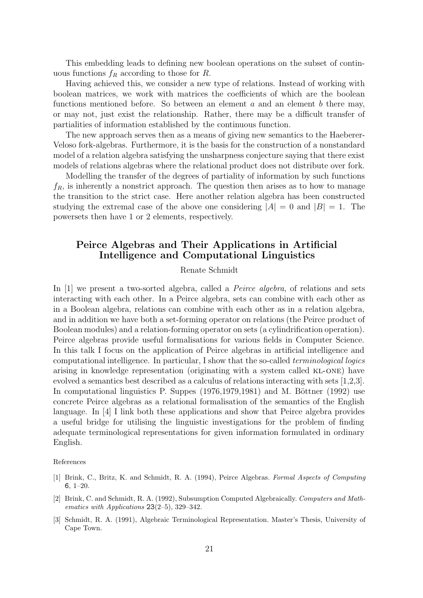This embedding leads to defining new boolean operations on the subset of continuous functions  $f_R$  according to those for R.

Having achieved this, we consider a new type of relations. Instead of working with boolean matrices, we work with matrices the coefficients of which are the boolean functions mentioned before. So between an element  $a$  and an element  $b$  there may, or may not, just exist the relationship. Rather, there may be a difficult transfer of partialities of information established by the continuous function.

The new approach serves then as a means of giving new semantics to the Haeberer-Veloso fork-algebras. Furthermore, it is the basis for the construction of a nonstandard model of a relation algebra satisfying the unsharpness conjecture saying that there exist models of relations algebras where the relational product does not distribute over fork.

Modelling the transfer of the degrees of partiality of information by such functions  $f_R$ , is inherently a nonstrict approach. The question then arises as to how to manage the transition to the strict case. Here another relation algebra has been constructed studying the extremal case of the above one considering  $|A| = 0$  and  $|B| = 1$ . The powersets then have 1 or 2 elements, respectively.

# Peirce Algebras and Their Applications in Artificial Intelligence and Computational Linguistics

### Renate Schmidt

In [1] we present a two-sorted algebra, called a *Peirce algebra*, of relations and sets interacting with each other. In a Peirce algebra, sets can combine with each other as in a Boolean algebra, relations can combine with each other as in a relation algebra, and in addition we have both a set-forming operator on relations (the Peirce product of Boolean modules) and a relation-forming operator on sets (a cylindrification operation). Peirce algebras provide useful formalisations for various fields in Computer Science. In this talk I focus on the application of Peirce algebras in artificial intelligence and computational intelligence. In particular, I show that the so-called terminological logics arising in knowledge representation (originating with a system called KL-ONE) have evolved a semantics best described as a calculus of relations interacting with sets [1,2,3]. In computational linguistics P. Suppes  $(1976,1979,1981)$  and M. Böttner  $(1992)$  use concrete Peirce algebras as a relational formalisation of the semantics of the English language. In [4] I link both these applications and show that Peirce algebra provides a useful bridge for utilising the linguistic investigations for the problem of finding adequate terminological representations for given information formulated in ordinary English.

#### References

- [1] Brink, C., Britz, K. and Schmidt, R. A. (1994), Peirce Algebras. Formal Aspects of Computing 6, 1–20.
- [2] Brink, C. and Schmidt, R. A. (1992), Subsumption Computed Algebraically. Computers and Mathematics with Applications 23(2–5), 329–342.
- [3] Schmidt, R. A. (1991), Algebraic Terminological Representation. Master's Thesis, University of Cape Town.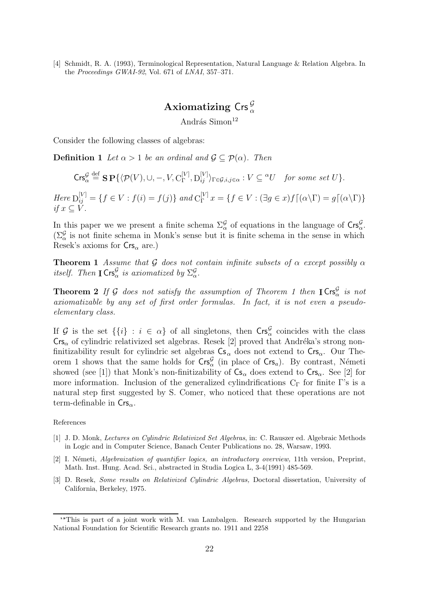[4] Schmidt, R. A. (1993), Terminological Representation, Natural Language & Relation Algebra. In the Proceedings GWAI-92, Vol. 671 of LNAI, 357–371.

# Axiomatizing Crs $\frac{\mathcal{G}}{\alpha}$

András Simon<sup>12</sup>

Consider the following classes of algebras:

**Definition 1** Let  $\alpha > 1$  be an ordinal and  $\mathcal{G} \subset \mathcal{P}(\alpha)$ . Then

$$
\mathsf{Crs}_{\alpha}^{\mathcal{G}} \stackrel{\text{def}}{=} \mathbf{S} \mathbf{P} \{ \langle \mathcal{P}(V), \cup, -, V, C_{\Gamma}^{[V]}, D_{ij}^{[V]} \rangle_{\Gamma \in \mathcal{G}, i, j \in \alpha} : V \subseteq {}^{\alpha}U \quad \text{for some set } U \}.
$$

Here  $D_{ij}^{[V]} = \{f \in V : f(i) = f(j)\}$  and  $C_{\Gamma}^{[V]} x = \{f \in V : (\exists g \in x) f \lceil (\alpha \setminus \Gamma) = g \lceil (\alpha \setminus \Gamma) \}$ if  $x \subset V$ .

In this paper we we present a finite schema  $\Sigma_{\alpha}^{\mathcal{G}}$  of equations in the language of  $\mathsf{Crs}_{\alpha}^{\mathcal{G}}$ .  $(\Sigma_{\alpha}^{\mathcal{G}})$  is not finite schema in Monk's sense but it is finite schema in the sense in which Resek's axioms for  $\mathsf{Crs}_{\alpha}$  are.)

**Theorem 1** Assume that G does not contain infinite subsets of  $\alpha$  except possibly  $\alpha$ itself. Then  $\mathbf{ICrs}_{\alpha}^{\mathcal{G}}$  is axiomatized by  $\Sigma_{\alpha}^{\mathcal{G}}$ .

**Theorem 2** If G does not satisfy the assumption of Theorem 1 then  $\text{ICrs}_{\alpha}^{\mathcal{G}}$  is not axiomatizable by any set of first order formulas. In fact, it is not even a pseudoelementary class.

If G is the set  $\{\{i\} : i \in \alpha\}$  of all singletons, then  $\text{Crs}_\alpha^{\mathcal{G}}$  coincides with the class  $\mathsf{Crs}_\alpha$  of cylindric relativized set algebras. Resek [2] proved that Andréka's strong nonfinitizability result for cylindric set algebras  $Cs_{\alpha}$  does not extend to  $Crs_{\alpha}$ . Our Theorem 1 shows that the same holds for  $\mathsf{Crs}_{\alpha}^{\mathcal{G}}$  (in place of  $\mathsf{Crs}_{a}$ ). By contrast, Németi showed (see [1]) that Monk's non-finitizability of  $Cs_{\alpha}$  does extend to  $Crs_{\alpha}$ . See [2] for more information. Inclusion of the generalized cylindrifications  $C_{\Gamma}$  for finite Γ's is a natural step first suggested by S. Comer, who noticed that these operations are not term-definable in  $\mathsf{Crs}_{\alpha}$ .

References

- [1] J. D. Monk, Lectures on Cylindric Relativized Set Algebras, in: C. Rauszer ed. Algebraic Methods in Logic and in Computer Science, Banach Center Publications no. 28, Warsaw, 1993.
- [2] I. Németi, Algebraization of quantifier logics, an introductory overview, 11th version, Preprint, Math. Inst. Hung. Acad. Sci., abstracted in Studia Logica L, 3-4(1991) 485-569.
- [3] D. Resek, Some results on Relativized Cylindric Algebras, Doctoral dissertation, University of California, Berkeley, 1975.

<sup>&</sup>lt;sup>12</sup>This is part of a joint work with M. van Lambalgen. Research supported by the Hungarian National Foundation for Scientific Research grants no. 1911 and 2258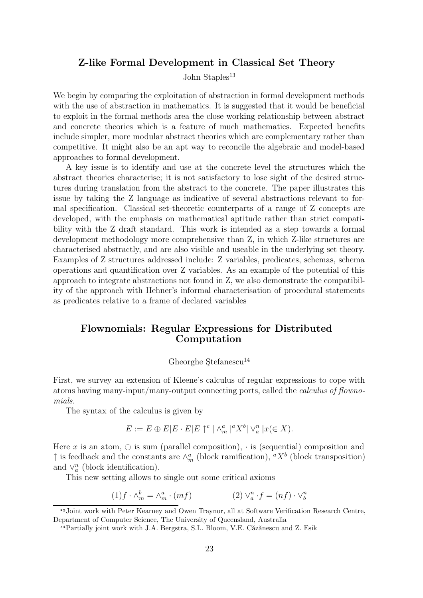### Z-like Formal Development in Classical Set Theory

John Staples<sup>13</sup>

We begin by comparing the exploitation of abstraction in formal development methods with the use of abstraction in mathematics. It is suggested that it would be beneficial to exploit in the formal methods area the close working relationship between abstract and concrete theories which is a feature of much mathematics. Expected benefits include simpler, more modular abstract theories which are complementary rather than competitive. It might also be an apt way to reconcile the algebraic and model-based approaches to formal development.

A key issue is to identify and use at the concrete level the structures which the abstract theories characterise; it is not satisfactory to lose sight of the desired structures during translation from the abstract to the concrete. The paper illustrates this issue by taking the Z language as indicative of several abstractions relevant to formal specification. Classical set-theoretic counterparts of a range of Z concepts are developed, with the emphasis on mathematical aptitude rather than strict compatibility with the Z draft standard. This work is intended as a step towards a formal development methodology more comprehensive than Z, in which Z-like structures are characterised abstractly, and are also visible and useable in the underlying set theory. Examples of Z structures addressed include: Z variables, predicates, schemas, schema operations and quantification over Z variables. As an example of the potential of this approach to integrate abstractions not found in Z, we also demonstrate the compatibility of the approach with Hehner's informal characterisation of procedural statements as predicates relative to a frame of declared variables

# Flownomials: Regular Expressions for Distributed Computation

# Gheorghe Stefanescu<sup>14</sup>

First, we survey an extension of Kleene's calculus of regular expressions to cope with atoms having many-input/many-output connecting ports, called the calculus of flownomials.

The syntax of the calculus is given by

$$
E := E \oplus E |E \cdot E| E \uparrow^c |\wedge^a_m|^a X^b | \vee^n_a |x(\in X).
$$

Here x is an atom,  $\oplus$  is sum (parallel composition),  $\cdot$  is (sequential) composition and  $\uparrow$  is feedback and the constants are  $\wedge_m^a$  (block ramification),  $^aX^b$  (block transposition) and  $\vee_a^n$  (block identification).

This new setting allows to single out some critical axioms

$$
(1) f \cdot \wedge_m^b = \wedge_m^a \cdot (mf) \qquad (2) \vee_a^n \cdot f = (nf) \cdot \vee_b^n
$$

<sup>&</sup>lt;sup>13</sup>Joint work with Peter Kearney and Owen Traynor, all at Software Verification Research Centre, Department of Computer Science, The University of Queensland, Australia

<sup>&</sup>lt;sup>14</sup> Partially joint work with J.A. Bergstra, S.L. Bloom, V.E. Căzănescu and Z. Esik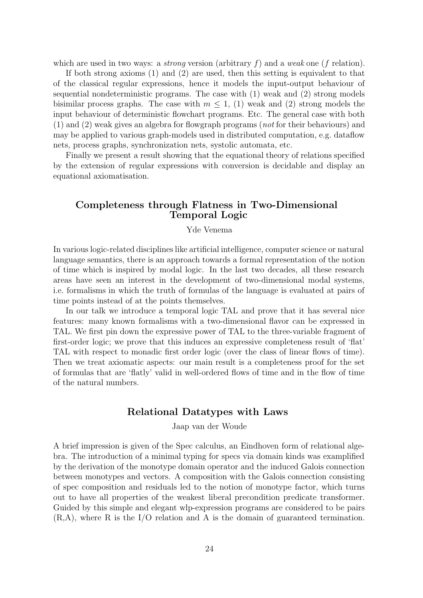which are used in two ways: a *strong* version (arbitrary f) and a weak one (f relation).

If both strong axioms (1) and (2) are used, then this setting is equivalent to that of the classical regular expressions, hence it models the input-output behaviour of sequential nondeterministic programs. The case with (1) weak and (2) strong models bisimilar process graphs. The case with  $m \leq 1$ , (1) weak and (2) strong models the input behaviour of deterministic flowchart programs. Etc. The general case with both (1) and (2) weak gives an algebra for flowgraph programs (not for their behaviours) and may be applied to various graph-models used in distributed computation, e.g. dataflow nets, process graphs, synchronization nets, systolic automata, etc.

Finally we present a result showing that the equational theory of relations specified by the extension of regular expressions with conversion is decidable and display an equational axiomatisation.

# Completeness through Flatness in Two-Dimensional Temporal Logic

### Yde Venema

In various logic-related disciplines like artificial intelligence, computer science or natural language semantics, there is an approach towards a formal representation of the notion of time which is inspired by modal logic. In the last two decades, all these research areas have seen an interest in the development of two-dimensional modal systems, i.e. formalisms in which the truth of formulas of the language is evaluated at pairs of time points instead of at the points themselves.

In our talk we introduce a temporal logic TAL and prove that it has several nice features: many known formalisms with a two-dimensional flavor can be expressed in TAL. We first pin down the expressive power of TAL to the three-variable fragment of first-order logic; we prove that this induces an expressive completeness result of 'flat' TAL with respect to monadic first order logic (over the class of linear flows of time). Then we treat axiomatic aspects: our main result is a completeness proof for the set of formulas that are 'flatly' valid in well-ordered flows of time and in the flow of time of the natural numbers.

### Relational Datatypes with Laws

Jaap van der Woude

A brief impression is given of the Spec calculus, an Eindhoven form of relational algebra. The introduction of a minimal typing for specs via domain kinds was examplified by the derivation of the monotype domain operator and the induced Galois connection between monotypes and vectors. A composition with the Galois connection consisting of spec composition and residuals led to the notion of monotype factor, which turns out to have all properties of the weakest liberal precondition predicate transformer. Guided by this simple and elegant wlp-expression programs are considered to be pairs (R,A), where R is the I/O relation and A is the domain of guaranteed termination.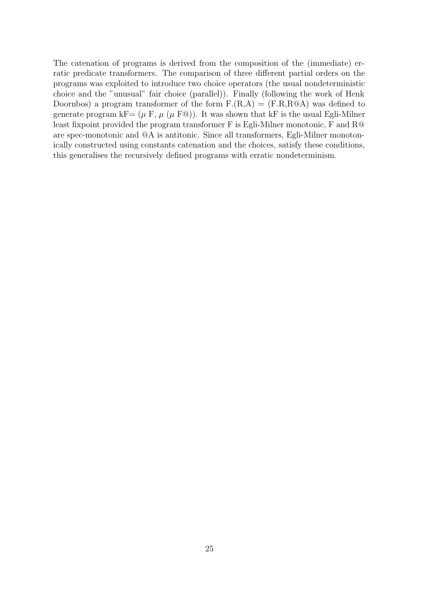The catenation of programs is derived from the composition of the (immediate) erratic predicate transformers. The comparison of three different partial orders on the programs was exploited to introduce two choice operators (the usual nondeterministic choice and the "unusual" fair choice (parallel)). Finally (following the work of Henk Doornbos) a program transformer of the form  $F.(R,A) = (F.R,R@A)$  was defined to generate program kF=  $(\mu \, \text{F}, \, \mu \, (\mu \, \text{F@}))$ . It was shown that kF is the usual Egli-Milner least fixpoint provided the program transformer F is Egli-Milner monotonic, F and R@ are spec-monotonic and @A is antitonic. Since all transformers, Egli-Milner monotonically constructed using constants catenation and the choices, satisfy these conditions, this generalises the recursively defined programs with erratic nondeterminism.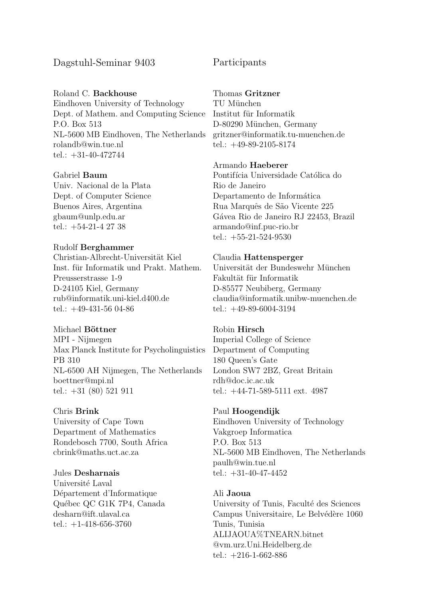# Dagstuhl-Seminar 9403

Roland C. Backhouse Eindhoven University of Technology Dept. of Mathem. and Computing Science P.O. Box 513 NL-5600 MB Eindhoven, The Netherlands rolandb@win.tue.nl tel.: +31-40-472744

### Gabriel Baum

Univ. Nacional de la Plata Dept. of Computer Science Buenos Aires, Argentina gbaum@unlp.edu.ar tel.: +54-21-4 27 38

### Rudolf Berghammer

Christian-Albrecht-Universität Kiel Inst. für Informatik und Prakt. Mathem. Preusserstrasse 1-9 D-24105 Kiel, Germany rub@informatik.uni-kiel.d400.de tel.: +49-431-56 04-86

### Michael Böttner

MPI - Nijmegen Max Planck Institute for Psycholinguistics PB 310 NL-6500 AH Nijmegen, The Netherlands boettner@mpi.nl tel.: +31 (80) 521 911

### Chris Brink

University of Cape Town Department of Mathematics Rondebosch 7700, South Africa cbrink@maths.uct.ac.za

### Jules Desharnais

Université Laval Département d'Informatique Québec QC G1K 7P4, Canada desharn@ift.ulaval.ca tel.:  $+1-418-656-3760$ 

# Participants

Thomas Gritzner

TU München Institut für Informatik D-80290 München, Germany gritzner@informatik.tu-muenchen.de tel.: +49-89-2105-8174

### Armando Haeberer

Pontifícia Universidade Católica do Rio de Janeiro Departamento de Informática Rua Marquês de São Vicente 225 Gávea Rio de Janeiro RJ 22453, Brazil armando@inf.puc-rio.br tel.: +55-21-524-9530

### Claudia Hattensperger

Universität der Bundeswehr München Fakultät für Informatik D-85577 Neubiberg, Germany claudia@informatik.unibw-muenchen.de tel.: +49-89-6004-3194

### Robin Hirsch Imperial College of Science

Department of Computing 180 Queen's Gate London SW7 2BZ, Great Britain rdh@doc.ic.ac.uk tel.: +44-71-589-5111 ext. 4987

### Paul Hoogendijk

Eindhoven University of Technology Vakgroep Informatica P.O. Box 513 NL-5600 MB Eindhoven, The Netherlands paulh@win.tue.nl tel.: +31-40-47-4452

### Ali Jaoua

University of Tunis, Facult´e des Sciences Campus Universitaire, Le Belvédère 1060 Tunis, Tunisia ALIJAOUA%TNEARN.bitnet @vm.urz.Uni.Heidelberg.de tel.: +216-1-662-886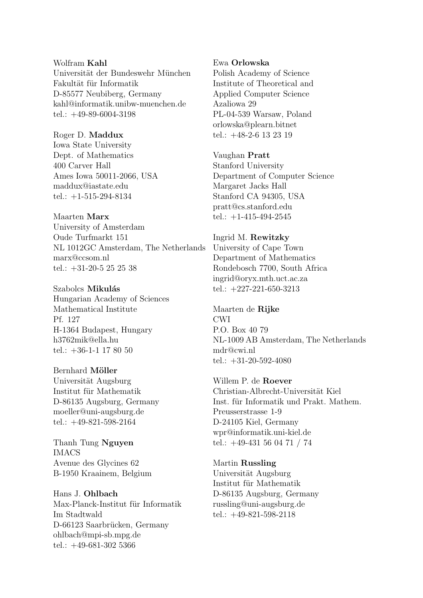Wolfram Kahl Universität der Bundeswehr München Fakultät für Informatik D-85577 Neubiberg, Germany kahl@informatik.unibw-muenchen.de tel.: +49-89-6004-3198

Roger D. Maddux Iowa State University Dept. of Mathematics 400 Carver Hall Ames Iowa 50011-2066, USA maddux@iastate.edu tel.: +1-515-294-8134

Maarten Marx University of Amsterdam Oude Turfmarkt 151 NL 1012GC Amsterdam, The Netherlands marx@ccsom.nl tel.: +31-20-5 25 25 38

Szabolcs Mikulás Hungarian Academy of Sciences Mathematical Institute Pf. 127 H-1364 Budapest, Hungary h3762mik@ella.hu tel.: +36-1-1 17 80 50

Bernhard Möller Universität Augsburg Institut für Mathematik D-86135 Augsburg, Germany moeller@uni-augsburg.de tel.: +49-821-598-2164

Thanh Tung Nguyen IMACS Avenue des Glycines 62 B-1950 Kraainem, Belgium

Hans J. Ohlbach Max-Planck-Institut für Informatik Im Stadtwald D-66123 Saarbrücken, Germany ohlbach@mpi-sb.mpg.de tel.: +49-681-302 5366

Ewa Orlowska

Polish Academy of Science Institute of Theoretical and Applied Computer Science Azaliowa 29 PL-04-539 Warsaw, Poland orlowska@plearn.bitnet tel.: +48-2-6 13 23 19

Vaughan Pratt Stanford University Department of Computer Science Margaret Jacks Hall Stanford CA 94305, USA pratt@cs.stanford.edu tel.:  $+1-415-494-2545$ 

Ingrid M. Rewitzky University of Cape Town Department of Mathematics Rondebosch 7700, South Africa ingrid@oryx.mth.uct.ac.za tel.: +227-221-650-3213

Maarten de Rijke CWI P.O. Box 40 79 NL-1009 AB Amsterdam, The Netherlands mdr@cwi.nl tel.:  $+31-20-592-4080$ 

Willem P. de Roever Christian-Albrecht-Universität Kiel Inst. für Informatik und Prakt. Mathem. Preusserstrasse 1-9 D-24105 Kiel, Germany wpr@informatik.uni-kiel.de tel.: +49-431 56 04 71 / 74

Martin Russling Universität Augsburg Institut für Mathematik D-86135 Augsburg, Germany russling@uni-augsburg.de tel.: +49-821-598-2118